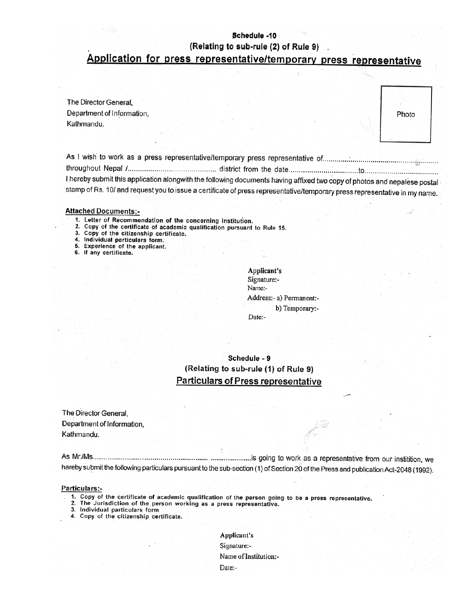Schedule -10

#### (Relating to sub-rule (2) of Rule 9)

#### Application for press representative/temporary press representative

| The Director General,      |       |
|----------------------------|-------|
| Department of Information, | Photo |
| Kathmandu.                 |       |

I hereby submit this application alongwith the following documents having affixed two copy of photos and nepalese postal stamp of Rs. 10/ and request you to issue a certificate of press representative/temporary press representative in my name.

#### **Attached Documents:-**

- 1. Letter of Recommendation of the concerning institution.
- $2.$ Copy of the certificate of academic qualification pursuant to Rule 15.
- Copy of the citizenship certificate. 3.
- 4. Individual particulars form.
- 5. Experience of the applicant.<br>6. If any certificate.
- 

Applicant's Signature:-Name:-Address:- a) Permanent:b) Temporary:-Date:-

Schedule - 9 (Relating to sub-rule (1) of Rule 9) **Particulars of Press representative** 

The Director General. Department of Information. Kathmandu.

hareby submit the following particulars pursuant to the sub-section (1) of Section 20 of the Press and publication Act-2048 (1992).

#### Particulars:-

- 1. Copy of the certificate of academic qualification of the person going to be a press representative.
- 2. The Jurisdiction of the person working as a press representative.
- 3. Individual particulars form
- 4. Copy of the citizenship certificate.

Applicant's Signature:-Name of Institution:-Date:-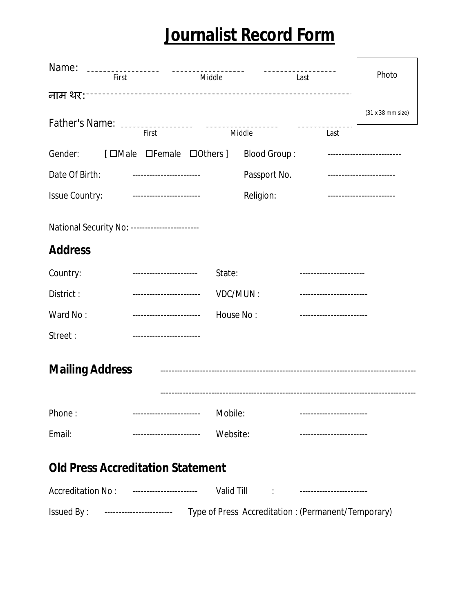# **Journalist Record Form**

 $\blacksquare$ 

| Name:<br>--------                                    |       | <u> - - - - - - -</u>     | --------<br>.           |                                       |      |                            |
|------------------------------------------------------|-------|---------------------------|-------------------------|---------------------------------------|------|----------------------------|
|                                                      | First |                           | Middle                  |                                       | Last | Photo                      |
| नाम थर:-----------                                   |       |                           |                         | ------------------------------------- |      |                            |
|                                                      |       |                           |                         |                                       |      | (31 x 38 mm size)          |
|                                                      |       | First                     |                         | Middle                                | Last |                            |
| Gender:                                              |       |                           | [OMale OFemale OOthers] | <b>Blood Group:</b>                   |      | -------------------------- |
| Date Of Birth:                                       |       |                           |                         | Passport No.                          |      |                            |
| <b>Issue Country:</b>                                |       | ------------------------- |                         | Religion:                             |      |                            |
| National Security No: ------------------------       |       |                           |                         |                                       |      |                            |
| <b>Address</b>                                       |       |                           |                         |                                       |      |                            |
| Country:                                             |       | -----------------------   | State:                  |                                       |      |                            |
| District:                                            |       | ------------------------- |                         | VDC/MUN:                              |      |                            |
| Ward No:                                             |       | ------------------------  |                         | House No:                             |      |                            |
| Street:                                              |       |                           |                         |                                       |      |                            |
| <b>Mailing Address</b>                               |       |                           |                         |                                       |      |                            |
| Phone:                                               |       |                           | Mobile:                 |                                       |      |                            |
| Email:                                               |       | ------------------------  | Website:                |                                       |      |                            |
| <b>Old Press Accreditation Statement</b>             |       |                           |                         |                                       |      |                            |
| Accreditation No: ----------------------- Valid Till |       |                           |                         |                                       |      |                            |

| AUUI UUILULIUI I IVU. | ------------------------    | vanu un |                                                    |  |
|-----------------------|-----------------------------|---------|----------------------------------------------------|--|
| Issued By:            | ___________________________ |         | Type of Press Accreditation: (Permanent/Temporary) |  |